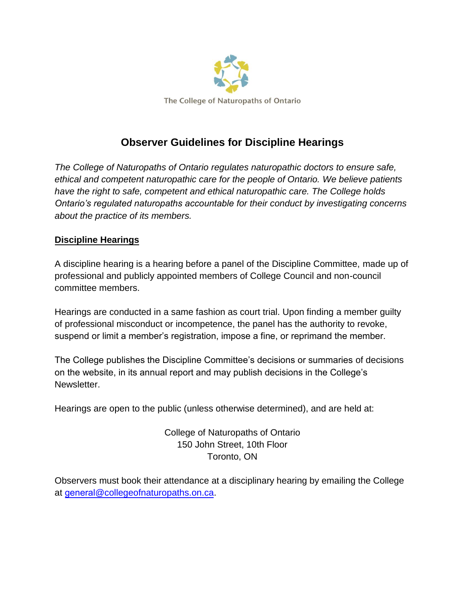

## **Observer Guidelines for Discipline Hearings**

*The College of Naturopaths of Ontario regulates naturopathic doctors to ensure safe, ethical and competent naturopathic care for the people of Ontario. We believe patients have the right to safe, competent and ethical naturopathic care. The College holds Ontario's regulated naturopaths accountable for their conduct by investigating concerns about the practice of its members.* 

## **Discipline Hearings**

A discipline hearing is a hearing before a panel of the Discipline Committee, made up of professional and publicly appointed members of College Council and non-council committee members.

Hearings are conducted in a same fashion as court trial. Upon finding a member guilty of professional misconduct or incompetence, the panel has the authority to revoke, suspend or limit a member's registration, impose a fine, or reprimand the member.

The College publishes the Discipline Committee's decisions or summaries of decisions on the website, in its annual report and may publish decisions in the College's Newsletter.

Hearings are open to the public (unless otherwise determined), and are held at:

College of Naturopaths of Ontario 150 John Street, 10th Floor Toronto, ON

Observers must book their attendance at a disciplinary hearing by emailing the College at general[@collegeofnaturopaths.on](mailto:general@collegeofnaturopaths.on.ca).ca.